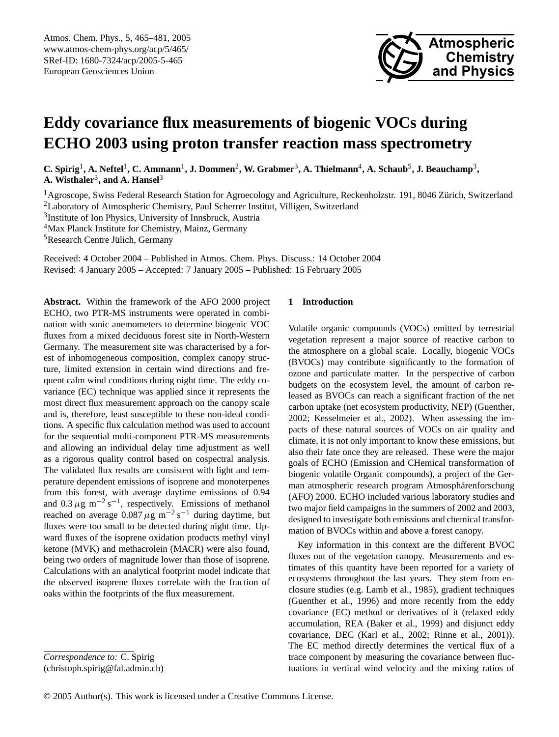

# **Eddy covariance flux measurements of biogenic VOCs during ECHO 2003 using proton transfer reaction mass spectrometry**

C. Spirig<sup>1</sup>, A. Neftel<sup>1</sup>, C. Ammann<sup>1</sup>, J. Dommen<sup>2</sup>, W. Grabmer<sup>3</sup>, A. Thielmann<sup>4</sup>, A. Schaub<sup>5</sup>, J. Beauchamp<sup>3</sup>, **A. Wisthaler**<sup>3</sup> **, and A. Hansel**<sup>3</sup>

 $1$ Agroscope, Swiss Federal Research Station for Agroecology and Agriculture, Reckenholzstr. 191, 8046 Zürich, Switzerland <sup>2</sup>Laboratory of Atmospheric Chemistry, Paul Scherrer Institut, Villigen, Switzerland

<sup>3</sup>Institute of Ion Physics, University of Innsbruck, Austria

<sup>4</sup>Max Planck Institute for Chemistry, Mainz, Germany

 ${}^{5}$ Research Centre Jülich, Germany

Received: 4 October 2004 – Published in Atmos. Chem. Phys. Discuss.: 14 October 2004 Revised: 4 January 2005 – Accepted: 7 January 2005 – Published: 15 February 2005

**Abstract.** Within the framework of the AFO 2000 project ECHO, two PTR-MS instruments were operated in combination with sonic anemometers to determine biogenic VOC fluxes from a mixed deciduous forest site in North-Western Germany. The measurement site was characterised by a forest of inhomogeneous composition, complex canopy structure, limited extension in certain wind directions and frequent calm wind conditions during night time. The eddy covariance (EC) technique was applied since it represents the most direct flux measurement approach on the canopy scale and is, therefore, least susceptible to these non-ideal conditions. A specific flux calculation method was used to account for the sequential multi-component PTR-MS measurements and allowing an individual delay time adjustment as well as a rigorous quality control based on cospectral analysis. The validated flux results are consistent with light and temperature dependent emissions of isoprene and monoterpenes from this forest, with average daytime emissions of 0.94 and  $0.3 \,\mu$ g m<sup>-2</sup>s<sup>-1</sup>, respectively. Emissions of methanol reached on average  $0.087 \,\mu$ g m<sup>-2</sup>s<sup>-1</sup> during daytime, but fluxes were too small to be detected during night time. Upward fluxes of the isoprene oxidation products methyl vinyl ketone (MVK) and methacrolein (MACR) were also found, being two orders of magnitude lower than those of isoprene. Calculations with an analytical footprint model indicate that the observed isoprene fluxes correlate with the fraction of oaks within the footprints of the flux measurement.

<span id="page-0-0"></span>(christoph.spirig@fal.admin.ch)

## **1 Introduction**

Volatile organic compounds (VOCs) emitted by terrestrial vegetation represent a major source of reactive carbon to the atmosphere on a global scale. Locally, biogenic VOCs (BVOCs) may contribute significantly to the formation of ozone and particulate matter. In the perspective of carbon budgets on the ecosystem level, the amount of carbon released as BVOCs can reach a significant fraction of the net carbon uptake (net ecosystem productivity, NEP) (Guenther, 2002; Kesselmeier et al., 2002). When assessing the impacts of these natural sources of VOCs on air quality and climate, it is not only important to know these emissions, but also their fate once they are released. These were the major goals of ECHO (Emission and CHemical transformation of biogenic volatile Organic compounds), a project of the German atmospheric research program Atmosphärenforschung (AFO) 2000. ECHO included various laboratory studies and two major field campaigns in the summers of 2002 and 2003, designed to investigate both emissions and chemical transformation of BVOCs within and above a forest canopy.

Key information in this context are the different BVOC fluxes out of the vegetation canopy. Measurements and estimates of this quantity have been reported for a variety of ecosystems throughout the last years. They stem from enclosure studies (e.g. Lamb et al., 1985), gradient techniques (Guenther et al., 1996) and more recently from the eddy covariance (EC) method or derivatives of it (relaxed eddy accumulation, REA (Baker et al., 1999) and disjunct eddy covariance, DEC (Karl et al., 2002; Rinne et al., 2001)). The EC method directly determines the vertical flux of a trace component by measuring the covariance between fluctuations in vertical wind velocity and the mixing ratios of

*Correspondence to:* C. Spirig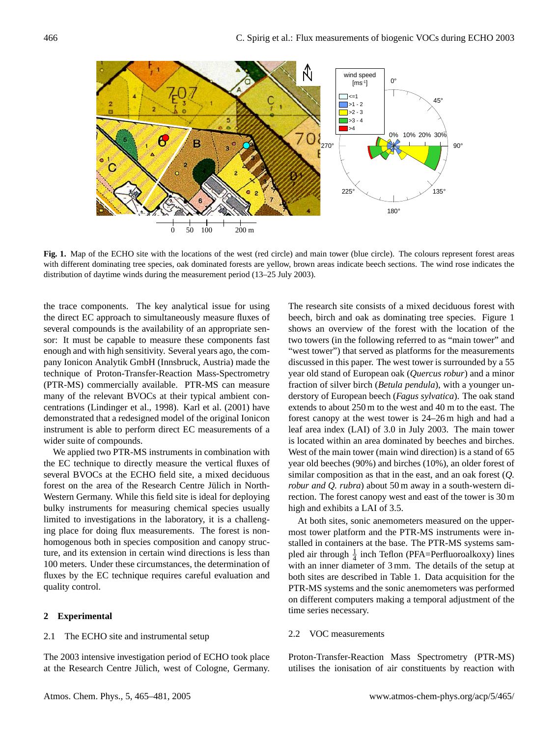

**Fig. 1.** Map of the ECHO site with the locations of the west (red circle) and main tower (blue circle). The colours represent forest areas with different dominating tree species, oak dominated forests are yellow, brown areas indicate beech sections. The wind rose indicates the distribution of daytime winds during the measurement period (13–25 July 2003).

the trace components. The key analytical issue for using the direct EC approach to simultaneously measure fluxes of several compounds is the availability of an appropriate sensor: It must be capable to measure these components fast enough and with high sensitivity. Several years ago, the company Ionicon Analytik GmbH (Innsbruck, Austria) made the technique of Proton-Transfer-Reaction Mass-Spectrometry (PTR-MS) commercially available. PTR-MS can measure many of the relevant BVOCs at their typical ambient concentrations (Lindinger et al., 1998). Karl et al. (2001) have demonstrated that a redesigned model of the original Ionicon instrument is able to perform direct EC measurements of a wider suite of compounds.

We applied two PTR-MS instruments in combination with the EC technique to directly measure the vertical fluxes of several BVOCs at the ECHO field site, a mixed deciduous forest on the area of the Research Centre Jülich in North-Western Germany. While this field site is ideal for deploying bulky instruments for measuring chemical species usually limited to investigations in the laboratory, it is a challenging place for doing flux measurements. The forest is nonhomogenous both in species composition and canopy structure, and its extension in certain wind directions is less than 100 meters. Under these circumstances, the determination of fluxes by the EC technique requires careful evaluation and quality control.

# **2 Experimental**

# 2.1 The ECHO site and instrumental setup

The 2003 intensive investigation period of ECHO took place at the Research Centre Jülich, west of Cologne, Germany. The research site consists of a mixed deciduous forest with beech, birch and oak as dominating tree species. Figure 1 shows an overview of the forest with the location of the two towers (in the following referred to as "main tower" and "west tower") that served as platforms for the measurements discussed in this paper. The west tower is surrounded by a 55 year old stand of European oak (*Quercus robur*) and a minor fraction of silver birch (*Betula pendula*), with a younger understory of European beech (*Fagus sylvatica*). The oak stand extends to about 250 m to the west and 40 m to the east. The forest canopy at the west tower is 24–26 m high and had a leaf area index (LAI) of 3.0 in July 2003. The main tower is located within an area dominated by beeches and birches. West of the main tower (main wind direction) is a stand of 65 year old beeches (90%) and birches (10%), an older forest of similar composition as that in the east, and an oak forest (*Q. robur and Q. rubra*) about 50 m away in a south-western direction. The forest canopy west and east of the tower is 30 m high and exhibits a LAI of 3.5.

At both sites, sonic anemometers measured on the uppermost tower platform and the PTR-MS instruments were installed in containers at the base. The PTR-MS systems sampled air through  $\frac{1}{4}$  inch Teflon (PFA=Perfluoroalkoxy) lines with an inner diameter of 3 mm. The details of the setup at both sites are described in Table 1. Data acquisition for the PTR-MS systems and the sonic anemometers was performed on different computers making a temporal adjustment of the time series necessary.

# 2.2 VOC measurements

Proton-Transfer-Reaction Mass Spectrometry (PTR-MS) utilises the ionisation of air constituents by reaction with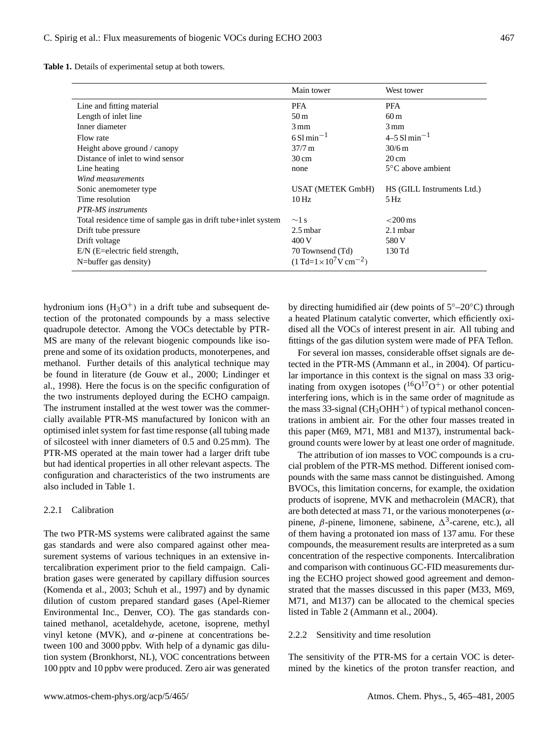| <b>Table 1.</b> Details of experimental setup at both towers. |  |  |  |
|---------------------------------------------------------------|--|--|--|
|---------------------------------------------------------------|--|--|--|

|                                                               | Main tower                                        | West tower                   |
|---------------------------------------------------------------|---------------------------------------------------|------------------------------|
| Line and fitting material                                     | <b>PFA</b>                                        | <b>PFA</b>                   |
| Length of inlet line                                          | 50 <sub>m</sub>                                   | 60 <sub>m</sub>              |
| Inner diameter                                                | $3 \,\mathrm{mm}$                                 | $3 \,\mathrm{mm}$            |
| Flow rate                                                     | $6 \text{Sl} \text{min}^{-1}$                     | $4 - 5$ Sl min <sup>-1</sup> |
| Height above ground / canopy                                  | 37/7 m                                            | $30/6$ m                     |
| Distance of inlet to wind sensor                              | $30 \text{ cm}$                                   | $20 \text{ cm}$              |
| Line heating                                                  | none                                              | $5^{\circ}$ C above ambient  |
| Wind measurements                                             |                                                   |                              |
| Sonic anemometer type                                         | USAT (METEK GmbH)                                 | HS (GILL Instruments Ltd.)   |
| Time resolution                                               | $10\,\mathrm{Hz}$                                 | $5\,\mathrm{Hz}$             |
| <b>PTR-MS</b> instruments                                     |                                                   |                              |
| Total residence time of sample gas in drift tube+inlet system | $\sim$ 1 s                                        | $<$ 200 ms                   |
| Drift tube pressure                                           | $2.5$ mbar                                        | $2.1$ mbar                   |
| Drift voltage                                                 | 400 V                                             | 580 V                        |
| $E/N$ (E=electric field strength,                             | 70 Townsend (Td)                                  | 130Td                        |
| $N = buffer$ gas density)                                     | $(1 \text{ Td} = 1 \times 10^7 \text{V cm}^{-2})$ |                              |

hydronium ions  $(H_3O^+)$  in a drift tube and subsequent detection of the protonated compounds by a mass selective quadrupole detector. Among the VOCs detectable by PTR-MS are many of the relevant biogenic compounds like isoprene and some of its oxidation products, monoterpenes, and methanol. Further details of this analytical technique may be found in literature (de Gouw et al., 2000; Lindinger et al., 1998). Here the focus is on the specific configuration of the two instruments deployed during the ECHO campaign. The instrument installed at the west tower was the commercially available PTR-MS manufactured by Ionicon with an optimised inlet system for fast time response (all tubing made of silcosteel with inner diameters of 0.5 and 0.25 mm). The PTR-MS operated at the main tower had a larger drift tube but had identical properties in all other relevant aspects. The configuration and characteristics of the two instruments are also included in Table 1.

# 2.2.1 Calibration

The two PTR-MS systems were calibrated against the same gas standards and were also compared against other measurement systems of various techniques in an extensive intercalibration experiment prior to the field campaign. Calibration gases were generated by capillary diffusion sources (Komenda et al., 2003; Schuh et al., 1997) and by dynamic dilution of custom prepared standard gases (Apel-Riemer Environmental Inc., Denver, CO). The gas standards contained methanol, acetaldehyde, acetone, isoprene, methyl vinyl ketone (MVK), and α-pinene at concentrations between 100 and 3000 ppbv. With help of a dynamic gas dilution system (Bronkhorst, NL), VOC concentrations between 100 pptv and 10 ppbv were produced. Zero air was generated by directing humidified air (dew points of 5◦–20◦C) through a heated Platinum catalytic converter, which efficiently oxidised all the VOCs of interest present in air. All tubing and fittings of the gas dilution system were made of PFA Teflon.

For several ion masses, considerable offset signals are detected in the PTR-MS (Ammann et al., in 2004). Of particular importance in this context is the signal on mass 33 originating from oxygen isotopes  $(^{16}O^{17}O<sup>+</sup>)$  or other potential interfering ions, which is in the same order of magnitude as the mass 33-signal ( $CH_3OHH^+$ ) of typical methanol concentrations in ambient air. For the other four masses treated in this paper (M69, M71, M81 and M137), instrumental background counts were lower by at least one order of magnitude.

The attribution of ion masses to VOC compounds is a crucial problem of the PTR-MS method. Different ionised compounds with the same mass cannot be distinguished. Among BVOCs, this limitation concerns, for example, the oxidation products of isoprene, MVK and methacrolein (MACR), that are both detected at mass 71, or the various monoterpenes ( $\alpha$ pinene, β-pinene, limonene, sabinene,  $Δ^3$ -carene, etc.), all of them having a protonated ion mass of 137 amu. For these compounds, the measurement results are interpreted as a sum concentration of the respective components. Intercalibration and comparison with continuous GC-FID measurements during the ECHO project showed good agreement and demonstrated that the masses discussed in this paper (M33, M69, M71, and M137) can be allocated to the chemical species listed in Table 2 (Ammann et al., 2004).

# 2.2.2 Sensitivity and time resolution

The sensitivity of the PTR-MS for a certain VOC is determined by the kinetics of the proton transfer reaction, and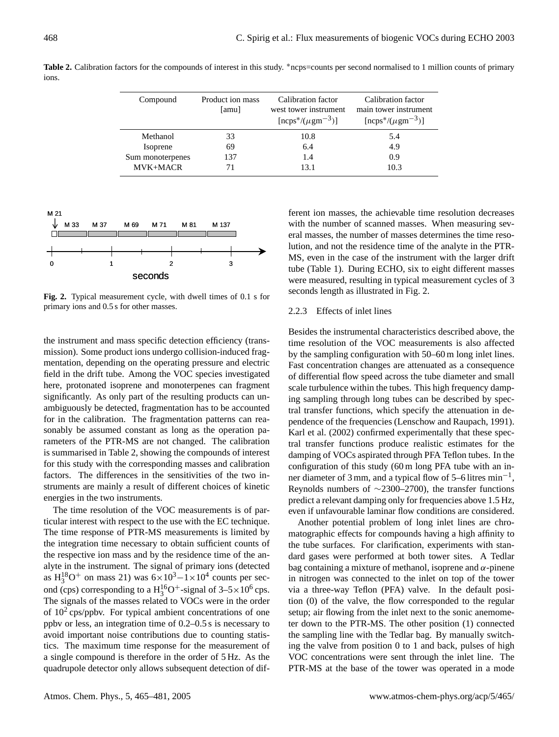| Compound         | Product ion mass<br>[amu] | Calibration factor<br>west tower instrument<br>$[ncps* / (\mu gm-3)]$ | Calibration factor<br>main tower instrument<br>[ncps <sup>*</sup> /( $\mu$ gm <sup>-3</sup> )] |
|------------------|---------------------------|-----------------------------------------------------------------------|------------------------------------------------------------------------------------------------|
| Methanol         | 33                        | 10.8                                                                  | 5.4                                                                                            |
| Isoprene         | 69                        | 6.4                                                                   | 4.9                                                                                            |
| Sum monoterpenes | 137                       | 1.4                                                                   | 0.9                                                                                            |
| MVK+MACR         |                           | 13.1                                                                  | 10.3                                                                                           |

Table 2. Calibration factors for the compounds of interest in this study. \*ncps=counts per second normalised to 1 million counts of primary ions.



**Fig. 2.** Typical measurement cycle, with dwell times of 0.1 s for primary ions and 0.5 s for other masses.

the instrument and mass specific detection efficiency (transmission). Some product ions undergo collision-induced fragmentation, depending on the operating pressure and electric field in the drift tube. Among the VOC species investigated here, protonated isoprene and monoterpenes can fragment significantly. As only part of the resulting products can unambiguously be detected, fragmentation has to be accounted for in the calibration. The fragmentation patterns can reasonably be assumed constant as long as the operation parameters of the PTR-MS are not changed. The calibration is summarised in Table 2, showing the compounds of interest for this study with the corresponding masses and calibration factors. The differences in the sensitivities of the two instruments are mainly a result of different choices of kinetic energies in the two instruments.

The time resolution of the VOC measurements is of particular interest with respect to the use with the EC technique. The time response of PTR-MS measurements is limited by the integration time necessary to obtain sufficient counts of the respective ion mass and by the residence time of the analyte in the instrument. The signal of primary ions (detected as  $H_3^{18}O^+$  on mass 21) was  $6 \times 10^3 - 1 \times 10^4$  counts per second (cps) corresponding to a  $H_3^{16}O^+$ -signal of 3–5×10<sup>6</sup> cps. The signals of the masses related to VOCs were in the order of 10<sup>2</sup> cps/ppbv. For typical ambient concentrations of one ppbv or less, an integration time of 0.2–0.5 s is necessary to avoid important noise contributions due to counting statistics. The maximum time response for the measurement of a single compound is therefore in the order of 5 Hz. As the quadrupole detector only allows subsequent detection of different ion masses, the achievable time resolution decreases with the number of scanned masses. When measuring several masses, the number of masses determines the time resolution, and not the residence time of the analyte in the PTR-MS, even in the case of the instrument with the larger drift tube (Table 1). During ECHO, six to eight different masses were measured, resulting in typical measurement cycles of 3 seconds length as illustrated in Fig. 2.

# 2.2.3 Effects of inlet lines

Besides the instrumental characteristics described above, the time resolution of the VOC measurements is also affected by the sampling configuration with 50–60 m long inlet lines. Fast concentration changes are attenuated as a consequence of differential flow speed across the tube diameter and small scale turbulence within the tubes. This high frequency damping sampling through long tubes can be described by spectral transfer functions, which specify the attenuation in dependence of the frequencies (Lenschow and Raupach, 1991). Karl et al. (2002) confirmed experimentally that these spectral transfer functions produce realistic estimates for the damping of VOCs aspirated through PFA Teflon tubes. In the configuration of this study (60 m long PFA tube with an inner diameter of 3 mm, and a typical flow of 5–6 litres min<sup>-1</sup>, Reynolds numbers of ∼2300–2700), the transfer functions predict a relevant damping only for frequencies above 1.5 Hz, even if unfavourable laminar flow conditions are considered.

Another potential problem of long inlet lines are chromatographic effects for compounds having a high affinity to the tube surfaces. For clarification, experiments with standard gases were performed at both tower sites. A Tedlar bag containing a mixture of methanol, isoprene and  $\alpha$ -pinene in nitrogen was connected to the inlet on top of the tower via a three-way Teflon (PFA) valve. In the default position (0) of the valve, the flow corresponded to the regular setup; air flowing from the inlet next to the sonic anemometer down to the PTR-MS. The other position (1) connected the sampling line with the Tedlar bag. By manually switching the valve from position 0 to 1 and back, pulses of high VOC concentrations were sent through the inlet line. The PTR-MS at the base of the tower was operated in a mode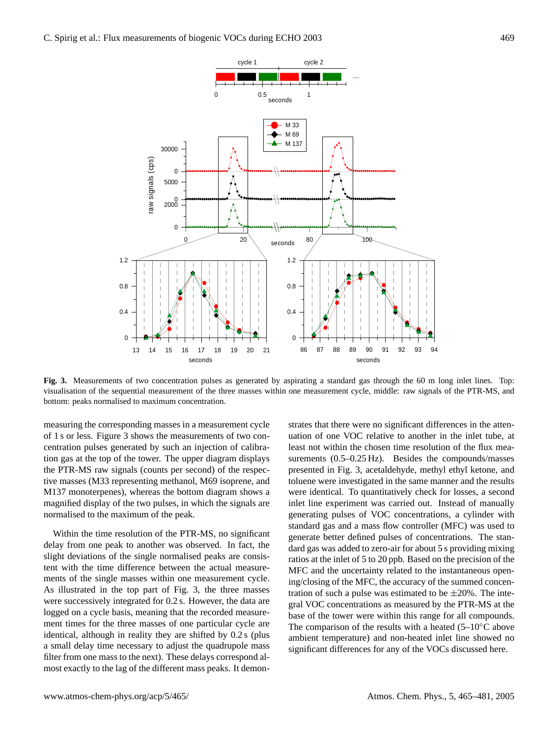

**Fig. 3.** Measurements of two concentration pulses as generated by aspirating a standard gas through the 60 m long inlet lines. Top: visualisation of the sequential measurement of the three masses within one measurement cycle, middle: raw signals of the PTR-MS, and bottom: peaks normalised to maximum concentration.

measuring the corresponding masses in a measurement cycle of 1 s or less. Figure 3 shows the measurements of two concentration pulses generated by such an injection of calibration gas at the top of the tower. The upper diagram displays the PTR-MS raw signals (counts per second) of the respective masses (M33 representing methanol, M69 isoprene, and M137 monoterpenes), whereas the bottom diagram shows a magnified display of the two pulses, in which the signals are normalised to the maximum of the peak.

Within the time resolution of the PTR-MS, no significant delay from one peak to another was observed. In fact, the slight deviations of the single normalised peaks are consistent with the time difference between the actual measurements of the single masses within one measurement cycle. As illustrated in the top part of Fig. 3, the three masses were successively integrated for 0.2 s. However, the data are logged on a cycle basis, meaning that the recorded measurement times for the three masses of one particular cycle are identical, although in reality they are shifted by 0.2 s (plus a small delay time necessary to adjust the quadrupole mass filter from one mass to the next). These delays correspond almost exactly to the lag of the different mass peaks. It demonstrates that there were no significant differences in the attenuation of one VOC relative to another in the inlet tube, at least not within the chosen time resolution of the flux measurements (0.5–0.25 Hz). Besides the compounds/masses presented in Fig. 3, acetaldehyde, methyl ethyl ketone, and toluene were investigated in the same manner and the results were identical. To quantitatively check for losses, a second inlet line experiment was carried out. Instead of manually generating pulses of VOC concentrations, a cylinder with standard gas and a mass flow controller (MFC) was used to generate better defined pulses of concentrations. The standard gas was added to zero-air for about 5 s providing mixing ratios at the inlet of 5 to 20 ppb. Based on the precision of the MFC and the uncertainty related to the instantaneous opening/closing of the MFC, the accuracy of the summed concentration of such a pulse was estimated to be  $\pm 20\%$ . The integral VOC concentrations as measured by the PTR-MS at the base of the tower were within this range for all compounds. The comparison of the results with a heated  $(5-10°C)$  above ambient temperature) and non-heated inlet line showed no significant differences for any of the VOCs discussed here.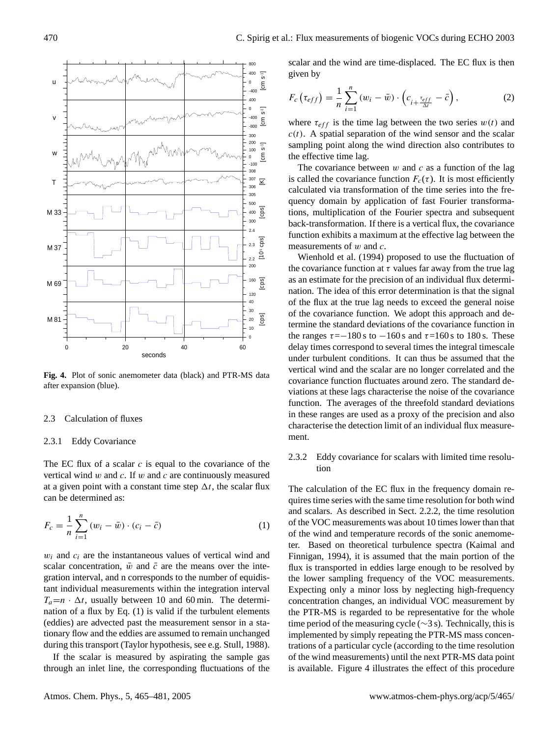

**Fig. 4.** Plot of sonic anemometer data (black) and PTR-MS data after expansion (blue).

## 2.3 Calculation of fluxes

## 2.3.1 Eddy Covariance

The EC flux of a scalar  $c$  is equal to the covariance of the vertical wind  $w$  and  $c$ . If  $w$  and  $c$  are continuously measured at a given point with a constant time step  $\Delta t$ , the scalar flux can be determined as:

$$
F_c = \frac{1}{n} \sum_{i=1}^{n} (w_i - \bar{w}) \cdot (c_i - \bar{c})
$$
 (1)

 $w_i$  and  $c_i$  are the instantaneous values of vertical wind and scalar concentration,  $\bar{w}$  and  $\bar{c}$  are the means over the integration interval, and n corresponds to the number of equidistant individual measurements within the integration interval  $T_a=n \cdot \Delta t$ , usually between 10 and 60 min. The determination of a flux by Eq. (1) is valid if the turbulent elements (eddies) are advected past the measurement sensor in a stationary flow and the eddies are assumed to remain unchanged during this transport (Taylor hypothesis, see e.g. Stull, 1988).

If the scalar is measured by aspirating the sample gas through an inlet line, the corresponding fluctuations of the scalar and the wind are time-displaced. The EC flux is then given by

$$
F_c\left(\tau_{eff}\right) = \frac{1}{n} \sum_{i=1}^n \left(w_i - \bar{w}\right) \cdot \left(c_{i + \frac{\tau_{eff}}{\Delta t}} - \bar{c}\right),\tag{2}
$$

where  $\tau_{eff}$  is the time lag between the two series  $w(t)$  and  $c(t)$ . A spatial separation of the wind sensor and the scalar sampling point along the wind direction also contributes to the effective time lag.

The covariance between  $w$  and  $c$  as a function of the lag is called the covariance function  $F_c(\tau)$ . It is most efficiently calculated via transformation of the time series into the frequency domain by application of fast Fourier transformations, multiplication of the Fourier spectra and subsequent back-transformation. If there is a vertical flux, the covariance function exhibits a maximum at the effective lag between the measurements of  $w$  and  $c$ .

Wienhold et al. (1994) proposed to use the fluctuation of the covariance function at  $\tau$  values far away from the true lag as an estimate for the precision of an individual flux determination. The idea of this error determination is that the signal of the flux at the true lag needs to exceed the general noise of the covariance function. We adopt this approach and determine the standard deviations of the covariance function in the ranges  $\tau = -180$  s to  $-160$  s and  $\tau = 160$  s to 180 s. These delay times correspond to several times the integral timescale under turbulent conditions. It can thus be assumed that the vertical wind and the scalar are no longer correlated and the covariance function fluctuates around zero. The standard deviations at these lags characterise the noise of the covariance function. The averages of the threefold standard deviations in these ranges are used as a proxy of the precision and also characterise the detection limit of an individual flux measurement.

# 2.3.2 Eddy covariance for scalars with limited time resolution

The calculation of the EC flux in the frequency domain requires time series with the same time resolution for both wind and scalars. As described in Sect. 2.2.2, the time resolution of the VOC measurements was about 10 times lower than that of the wind and temperature records of the sonic anemometer. Based on theoretical turbulence spectra (Kaimal and Finnigan, 1994), it is assumed that the main portion of the flux is transported in eddies large enough to be resolved by the lower sampling frequency of the VOC measurements. Expecting only a minor loss by neglecting high-frequency concentration changes, an individual VOC measurement by the PTR-MS is regarded to be representative for the whole time period of the measuring cycle ( $\sim$ 3 s). Technically, this is implemented by simply repeating the PTR-MS mass concentrations of a particular cycle (according to the time resolution of the wind measurements) until the next PTR-MS data point is available. Figure 4 illustrates the effect of this procedure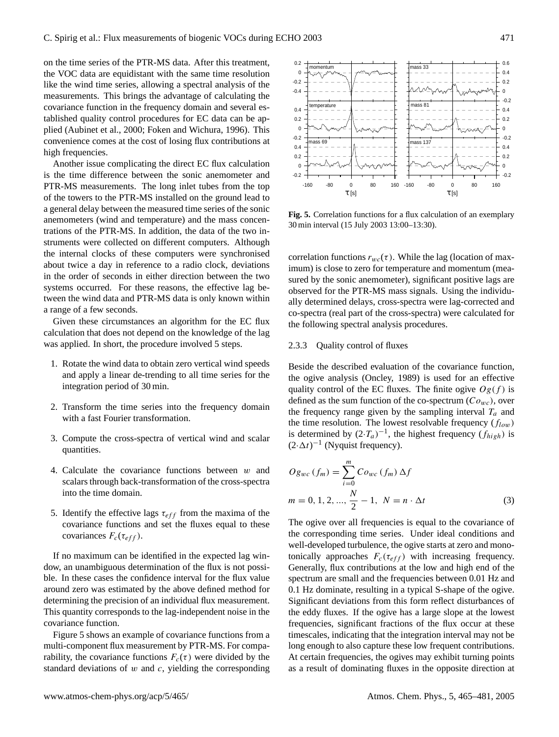on the time series of the PTR-MS data. After this treatment, the VOC data are equidistant with the same time resolution like the wind time series, allowing a spectral analysis of the measurements. This brings the advantage of calculating the covariance function in the frequency domain and several established quality control procedures for EC data can be applied (Aubinet et al., 2000; Foken and Wichura, 1996). This convenience comes at the cost of losing flux contributions at high frequencies.

Another issue complicating the direct EC flux calculation is the time difference between the sonic anemometer and PTR-MS measurements. The long inlet tubes from the top of the towers to the PTR-MS installed on the ground lead to a general delay between the measured time series of the sonic anemometers (wind and temperature) and the mass concentrations of the PTR-MS. In addition, the data of the two instruments were collected on different computers. Although the internal clocks of these computers were synchronised about twice a day in reference to a radio clock, deviations in the order of seconds in either direction between the two systems occurred. For these reasons, the effective lag between the wind data and PTR-MS data is only known within a range of a few seconds.

Given these circumstances an algorithm for the EC flux calculation that does not depend on the knowledge of the lag was applied. In short, the procedure involved 5 steps.

- 1. Rotate the wind data to obtain zero vertical wind speeds and apply a linear de-trending to all time series for the integration period of 30 min.
- 2. Transform the time series into the frequency domain with a fast Fourier transformation.
- 3. Compute the cross-spectra of vertical wind and scalar quantities.
- 4. Calculate the covariance functions between  $w$  and scalars through back-transformation of the cross-spectra into the time domain.
- 5. Identify the effective lags  $\tau_{eff}$  from the maxima of the covariance functions and set the fluxes equal to these covariances  $F_c(\tau_{eff})$ .

If no maximum can be identified in the expected lag window, an unambiguous determination of the flux is not possible. In these cases the confidence interval for the flux value around zero was estimated by the above defined method for determining the precision of an individual flux measurement. This quantity corresponds to the lag-independent noise in the covariance function.

Figure 5 shows an example of covariance functions from a multi-component flux measurement by PTR-MS. For comparability, the covariance functions  $F_c(\tau)$  were divided by the standard deviations of  $w$  and  $c$ , yielding the corresponding



**Fig. 5.** Correlation functions for a flux calculation of an exemplary 30 min interval (15 July 2003 13:00–13:30).

correlation functions  $r_{wc}(\tau)$ . While the lag (location of maximum) is close to zero for temperature and momentum (measured by the sonic anemometer), significant positive lags are observed for the PTR-MS mass signals. Using the individually determined delays, cross-spectra were lag-corrected and co-spectra (real part of the cross-spectra) were calculated for the following spectral analysis procedures.

# 2.3.3 Quality control of fluxes

Beside the described evaluation of the covariance function, the ogive analysis (Oncley, 1989) is used for an effective quality control of the EC fluxes. The finite ogive  $Og(f)$  is defined as the sum function of the co-spectrum  $(Co_{wc})$ , over the frequency range given by the sampling interval  $T_a$  and the time resolution. The lowest resolvable frequency  $(f_{low})$ is determined by  $(2 \cdot T_a)^{-1}$ , the highest frequency  $(f_{high})$  is  $(2 \cdot \Delta t)^{-1}$  (Nyquist frequency).

$$
O g_{wc} (f_m) = \sum_{i=0}^{m} Cov_{wc} (f_m) \Delta f
$$
  

$$
m = 0, 1, 2, ..., \frac{N}{2} - 1, N = n \cdot \Delta t
$$
 (3)

The ogive over all frequencies is equal to the covariance of the corresponding time series. Under ideal conditions and well-developed turbulence, the ogive starts at zero and monotonically approaches  $F_c(\tau_{eff})$  with increasing frequency. Generally, flux contributions at the low and high end of the spectrum are small and the frequencies between 0.01 Hz and 0.1 Hz dominate, resulting in a typical S-shape of the ogive. Significant deviations from this form reflect disturbances of the eddy fluxes. If the ogive has a large slope at the lowest frequencies, significant fractions of the flux occur at these timescales, indicating that the integration interval may not be long enough to also capture these low frequent contributions. At certain frequencies, the ogives may exhibit turning points as a result of dominating fluxes in the opposite direction at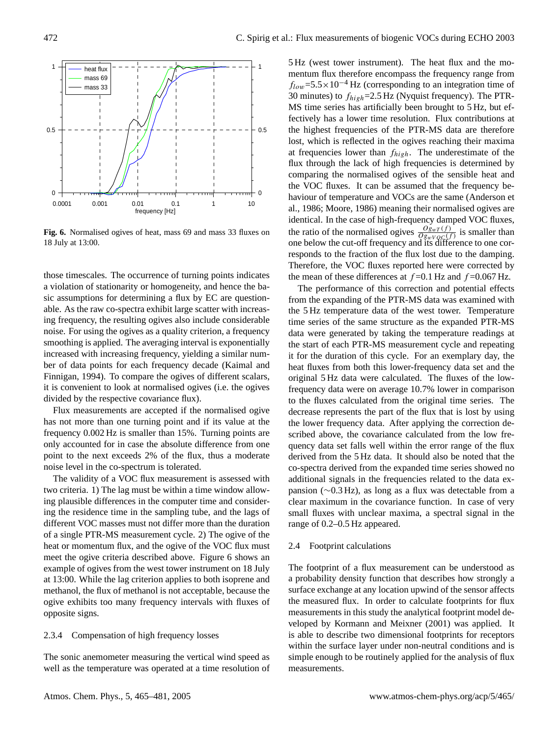

**Fig. 6.** Normalised ogives of heat, mass 69 and mass 33 fluxes on 18 July at 13:00.

those timescales. The occurrence of turning points indicates a violation of stationarity or homogeneity, and hence the basic assumptions for determining a flux by EC are questionable. As the raw co-spectra exhibit large scatter with increasing frequency, the resulting ogives also include considerable noise. For using the ogives as a quality criterion, a frequency smoothing is applied. The averaging interval is exponentially increased with increasing frequency, yielding a similar number of data points for each frequency decade (Kaimal and Finnigan, 1994). To compare the ogives of different scalars, it is convenient to look at normalised ogives (i.e. the ogives divided by the respective covariance flux).

Flux measurements are accepted if the normalised ogive has not more than one turning point and if its value at the frequency 0.002 Hz is smaller than 15%. Turning points are only accounted for in case the absolute difference from one point to the next exceeds 2% of the flux, thus a moderate noise level in the co-spectrum is tolerated.

The validity of a VOC flux measurement is assessed with two criteria. 1) The lag must be within a time window allowing plausible differences in the computer time and considering the residence time in the sampling tube, and the lags of different VOC masses must not differ more than the duration of a single PTR-MS measurement cycle. 2) The ogive of the heat or momentum flux, and the ogive of the VOC flux must meet the ogive criteria described above. Figure 6 shows an example of ogives from the west tower instrument on 18 July at 13:00. While the lag criterion applies to both isoprene and methanol, the flux of methanol is not acceptable, because the ogive exhibits too many frequency intervals with fluxes of opposite signs.

# 2.3.4 Compensation of high frequency losses

The sonic anemometer measuring the vertical wind speed as well as the temperature was operated at a time resolution of 5 Hz (west tower instrument). The heat flux and the momentum flux therefore encompass the frequency range from  $f_{low}$ =5.5×10<sup>-4</sup> Hz (corresponding to an integration time of 30 minutes) to  $f_{high}$ =2.5 Hz (Nyquist frequency). The PTR-MS time series has artificially been brought to 5 Hz, but effectively has a lower time resolution. Flux contributions at the highest frequencies of the PTR-MS data are therefore lost, which is reflected in the ogives reaching their maxima at frequencies lower than  $f_{high}$ . The underestimate of the flux through the lack of high frequencies is determined by comparing the normalised ogives of the sensible heat and the VOC fluxes. It can be assumed that the frequency behaviour of temperature and VOCs are the same (Anderson et al., 1986; Moore, 1986) meaning their normalised ogives are identical. In the case of high-frequency damped VOC fluxes, the ratio of the normalised ogives  $\frac{O g_{wT}(f)}{O g_{wV} O C(f)}$  is smaller than one below the cut-off frequency and its difference to one corresponds to the fraction of the flux lost due to the damping. Therefore, the VOC fluxes reported here were corrected by the mean of these differences at  $f=0.1$  Hz and  $f=0.067$  Hz.

The performance of this correction and potential effects from the expanding of the PTR-MS data was examined with the 5 Hz temperature data of the west tower. Temperature time series of the same structure as the expanded PTR-MS data were generated by taking the temperature readings at the start of each PTR-MS measurement cycle and repeating it for the duration of this cycle. For an exemplary day, the heat fluxes from both this lower-frequency data set and the original 5 Hz data were calculated. The fluxes of the lowfrequency data were on average 10.7% lower in comparison to the fluxes calculated from the original time series. The decrease represents the part of the flux that is lost by using the lower frequency data. After applying the correction described above, the covariance calculated from the low frequency data set falls well within the error range of the flux derived from the 5 Hz data. It should also be noted that the co-spectra derived from the expanded time series showed no additional signals in the frequencies related to the data expansion (∼0.3 Hz), as long as a flux was detectable from a clear maximum in the covariance function. In case of very small fluxes with unclear maxima, a spectral signal in the range of 0.2–0.5 Hz appeared.

## 2.4 Footprint calculations

The footprint of a flux measurement can be understood as a probability density function that describes how strongly a surface exchange at any location upwind of the sensor affects the measured flux. In order to calculate footprints for flux measurements in this study the analytical footprint model developed by Kormann and Meixner (2001) was applied. It is able to describe two dimensional footprints for receptors within the surface layer under non-neutral conditions and is simple enough to be routinely applied for the analysis of flux measurements.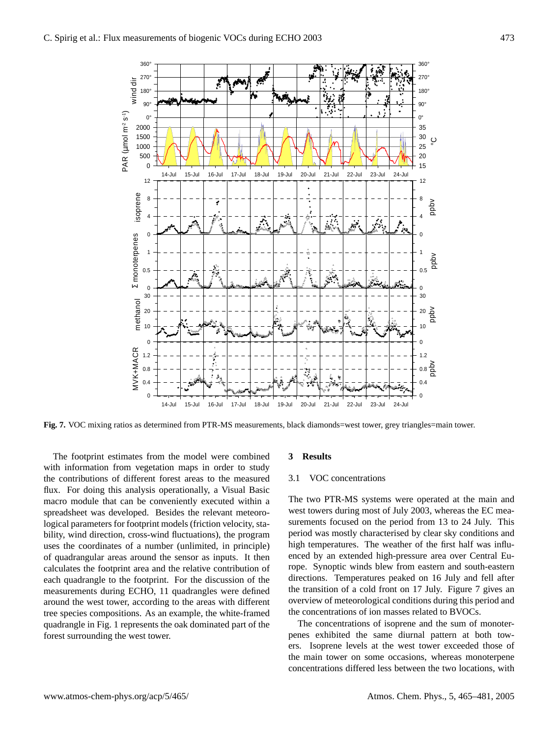

**Fig. 7.** VOC mixing ratios as determined from PTR-MS measurements, black diamonds=west tower, grey triangles=main tower.

The footprint estimates from the model were combined with information from vegetation maps in order to study the contributions of different forest areas to the measured flux. For doing this analysis operationally, a Visual Basic macro module that can be conveniently executed within a spreadsheet was developed. Besides the relevant meteorological parameters for footprint models (friction velocity, stability, wind direction, cross-wind fluctuations), the program uses the coordinates of a number (unlimited, in principle) of quadrangular areas around the sensor as inputs. It then calculates the footprint area and the relative contribution of each quadrangle to the footprint. For the discussion of the measurements during ECHO, 11 quadrangles were defined around the west tower, according to the areas with different tree species compositions. As an example, the white-framed quadrangle in Fig. 1 represents the oak dominated part of the forest surrounding the west tower.

#### **3 Results**

## 3.1 VOC concentrations

The two PTR-MS systems were operated at the main and west towers during most of July 2003, whereas the EC measurements focused on the period from 13 to 24 July. This period was mostly characterised by clear sky conditions and high temperatures. The weather of the first half was influenced by an extended high-pressure area over Central Europe. Synoptic winds blew from eastern and south-eastern directions. Temperatures peaked on 16 July and fell after the transition of a cold front on 17 July. Figure 7 gives an overview of meteorological conditions during this period and the concentrations of ion masses related to BVOCs.

The concentrations of isoprene and the sum of monoterpenes exhibited the same diurnal pattern at both towers. Isoprene levels at the west tower exceeded those of the main tower on some occasions, whereas monoterpene concentrations differed less between the two locations, with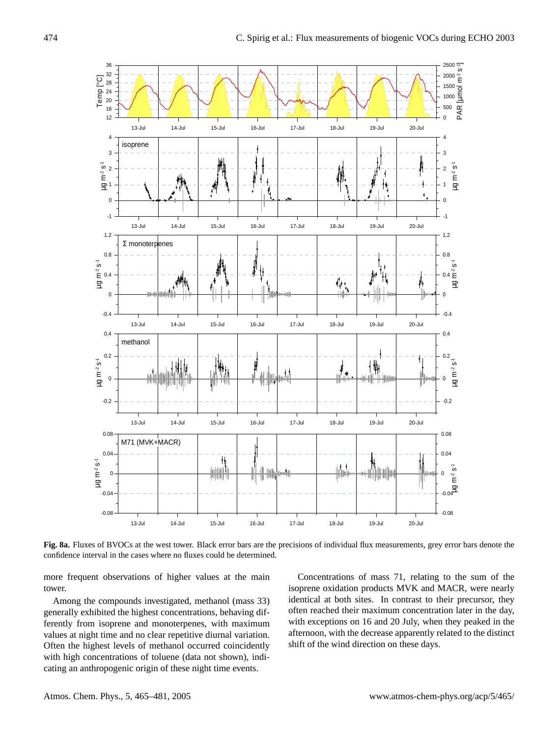

Fig. 8a. Fluxes of BVOCs at the west tower. Black error bars are the precisions of individual flux measurements, grey error bars denote the confidence interval in the cases where no fluxes could be determined.

more frequent observations of higher values at the main tower.

Among the compounds investigated, methanol (mass 33) generally exhibited the highest concentrations, behaving differently from isoprene and monoterpenes, with maximum values at night time and no clear repetitive diurnal variation. Often the highest levels of methanol occurred coincidently with high concentrations of toluene (data not shown), indicating an anthropogenic origin of these night time events.

Concentrations of mass 71, relating to the sum of the isoprene oxidation products MVK and MACR, were nearly identical at both sites. In contrast to their precursor, they often reached their maximum concentration later in the day, with exceptions on 16 and 20 July, when they peaked in the afternoon, with the decrease apparently related to the distinct shift of the wind direction on these days.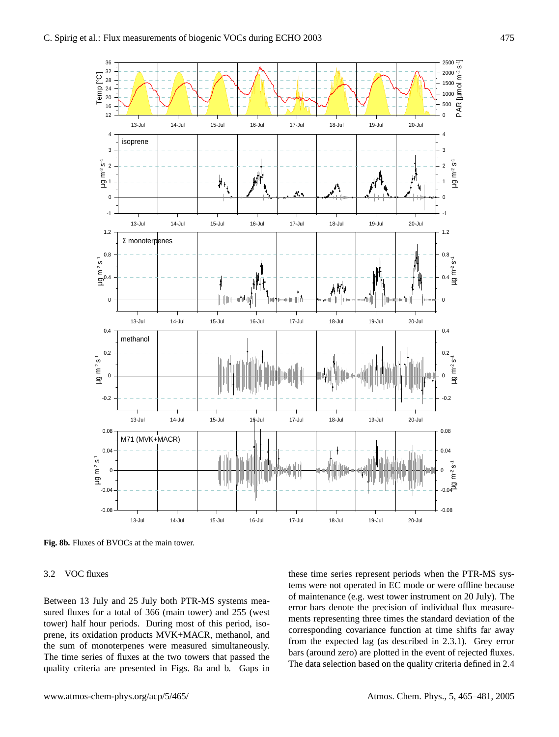

**Fig. 8b.** Fluxes of BVOCs at the main tower.

# 3.2 VOC fluxes

Between 13 July and 25 July both PTR-MS systems measured fluxes for a total of 366 (main tower) and 255 (west tower) half hour periods. During most of this period, isoprene, its oxidation products MVK+MACR, methanol, and the sum of monoterpenes were measured simultaneously. The time series of fluxes at the two towers that passed the quality criteria are presented in Figs. 8a and b. Gaps in these time series represent periods when the PTR-MS systems were not operated in EC mode or were offline because of maintenance (e.g. west tower instrument on 20 July). The error bars denote the precision of individual flux measurements representing three times the standard deviation of the corresponding covariance function at time shifts far away from the expected lag (as described in 2.3.1). Grey error bars (around zero) are plotted in the event of rejected fluxes. The data selection based on the quality criteria defined in 2.4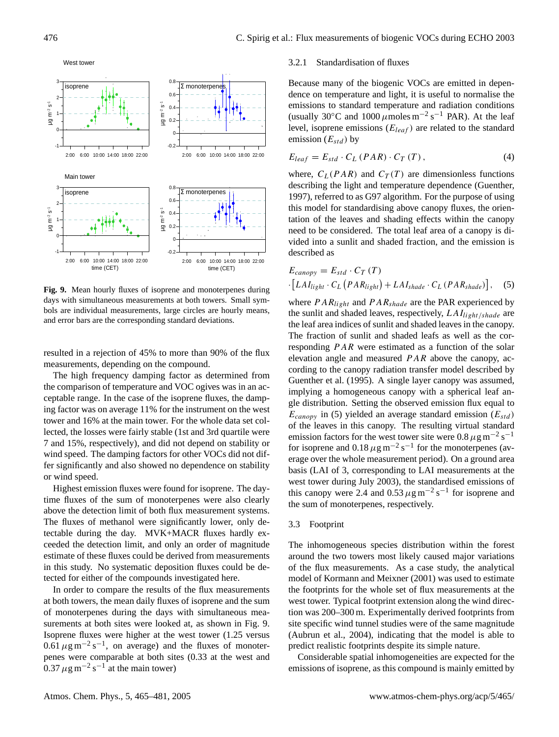West tower



**Fig. 9.** Mean hourly fluxes of isoprene and monoterpenes during days with simultaneous measurements at both towers. Small symbols are individual measurements, large circles are hourly means, and error bars are the corresponding standard deviations.

resulted in a rejection of 45% to more than 90% of the flux measurements, depending on the compound.

The high frequency damping factor as determined from the comparison of temperature and VOC ogives was in an acceptable range. In the case of the isoprene fluxes, the damping factor was on average 11% for the instrument on the west tower and 16% at the main tower. For the whole data set collected, the losses were fairly stable (1st and 3rd quartile were 7 and 15%, respectively), and did not depend on stability or wind speed. The damping factors for other VOCs did not differ significantly and also showed no dependence on stability or wind speed.

Highest emission fluxes were found for isoprene. The daytime fluxes of the sum of monoterpenes were also clearly above the detection limit of both flux measurement systems. The fluxes of methanol were significantly lower, only detectable during the day. MVK+MACR fluxes hardly exceeded the detection limit, and only an order of magnitude estimate of these fluxes could be derived from measurements in this study. No systematic deposition fluxes could be detected for either of the compounds investigated here.

In order to compare the results of the flux measurements at both towers, the mean daily fluxes of isoprene and the sum of monoterpenes during the days with simultaneous measurements at both sites were looked at, as shown in Fig. 9. Isoprene fluxes were higher at the west tower (1.25 versus  $0.61 \mu g m^{-2} s^{-1}$ , on average) and the fluxes of monoterpenes were comparable at both sites (0.33 at the west and  $0.37 \,\mu g\,\text{m}^{-2}\,\text{s}^{-1}$  at the main tower)

# 3.2.1 Standardisation of fluxes

Because many of the biogenic VOCs are emitted in dependence on temperature and light, it is useful to normalise the emissions to standard temperature and radiation conditions (usually 30 $\degree$ C and 1000  $\mu$ moles m<sup>-2</sup> s<sup>-1</sup> PAR). At the leaf level, isoprene emissions  $(E_{leaf})$  are related to the standard emission  $(E_{std})$  by

$$
E_{leaf} = E_{std} \cdot C_L (PAR) \cdot C_T (T), \qquad (4)
$$

where,  $C_L(PAR)$  and  $C_T(T)$  are dimensionless functions describing the light and temperature dependence (Guenther, 1997), referred to as G97 algorithm. For the purpose of using this model for standardising above canopy fluxes, the orientation of the leaves and shading effects within the canopy need to be considered. The total leaf area of a canopy is divided into a sunlit and shaded fraction, and the emission is described as

$$
E_{canopy} = E_{std} \cdot C_T \left( T \right)
$$
  
\n
$$
\cdot \left[ LAI_{light} \cdot C_L \left( PAR_{light} \right) + LAI_{shade} \cdot C_L \left( PAR_{shade} \right) \right], \quad (5)
$$

where  $PAR_{light}$  and  $PAR_{shade}$  are the PAR experienced by the sunlit and shaded leaves, respectively,  $LAI_{light/shade}$  are the leaf area indices of sunlit and shaded leaves in the canopy. The fraction of sunlit and shaded leafs as well as the corresponding  $PAR$  were estimated as a function of the solar elevation angle and measured  $PAR$  above the canopy, according to the canopy radiation transfer model described by Guenther et al. (1995). A single layer canopy was assumed, implying a homogeneous canopy with a spherical leaf angle distribution. Setting the observed emission flux equal to  $E_{canopy}$  in (5) yielded an average standard emission ( $E_{std}$ ) of the leaves in this canopy. The resulting virtual standard emission factors for the west tower site were 0.8  $\mu$ g m<sup>-2</sup> s<sup>-1</sup> for isoprene and  $0.18 \,\mu g \,\text{m}^{-2} \,\text{s}^{-1}$  for the monoterpenes (average over the whole measurement period). On a ground area basis (LAI of 3, corresponding to LAI measurements at the west tower during July 2003), the standardised emissions of this canopy were 2.4 and  $0.53 \,\mu g \,\text{m}^{-2} \,\text{s}^{-1}$  for isoprene and the sum of monoterpenes, respectively.

# 3.3 Footprint

The inhomogeneous species distribution within the forest around the two towers most likely caused major variations of the flux measurements. As a case study, the analytical model of Kormann and Meixner (2001) was used to estimate the footprints for the whole set of flux measurements at the west tower. Typical footprint extension along the wind direction was 200–300 m. Experimentally derived footprints from site specific wind tunnel studies were of the same magnitude (Aubrun et al., 2004), indicating that the model is able to predict realistic footprints despite its simple nature.

Considerable spatial inhomogeneities are expected for the emissions of isoprene, as this compound is mainly emitted by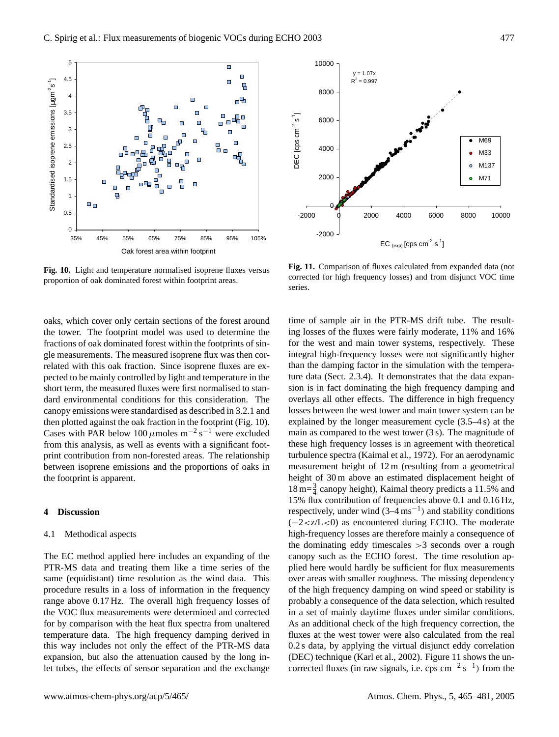

**Fig. 10.** Light and temperature normalised isoprene fluxes versus proportion of oak dominated forest within footprint areas.

oaks, which cover only certain sections of the forest around the tower. The footprint model was used to determine the fractions of oak dominated forest within the footprints of single measurements. The measured isoprene flux was then correlated with this oak fraction. Since isoprene fluxes are expected to be mainly controlled by light and temperature in the short term, the measured fluxes were first normalised to standard environmental conditions for this consideration. The canopy emissions were standardised as described in 3.2.1 and then plotted against the oak fraction in the footprint (Fig. 10). Cases with PAR below 100  $\mu$ moles m<sup>-2</sup> s<sup>-1</sup> were excluded from this analysis, as well as events with a significant footprint contribution from non-forested areas. The relationship between isoprene emissions and the proportions of oaks in the footprint is apparent.

# **4 Discussion**

## 4.1 Methodical aspects

The EC method applied here includes an expanding of the PTR-MS data and treating them like a time series of the same (equidistant) time resolution as the wind data. This procedure results in a loss of information in the frequency range above 0.17 Hz. The overall high frequency losses of the VOC flux measurements were determined and corrected for by comparison with the heat flux spectra from unaltered temperature data. The high frequency damping derived in this way includes not only the effect of the PTR-MS data expansion, but also the attenuation caused by the long inlet tubes, the effects of sensor separation and the exchange



**Fig. 11.** Comparison of fluxes calculated from expanded data (not corrected for high frequency losses) and from disjunct VOC time series.

time of sample air in the PTR-MS drift tube. The resulting losses of the fluxes were fairly moderate, 11% and 16% for the west and main tower systems, respectively. These integral high-frequency losses were not significantly higher than the damping factor in the simulation with the temperature data (Sect. 2.3.4). It demonstrates that the data expansion is in fact dominating the high frequency damping and overlays all other effects. The difference in high frequency losses between the west tower and main tower system can be explained by the longer measurement cycle (3.5–4 s) at the main as compared to the west tower (3 s). The magnitude of these high frequency losses is in agreement with theoretical turbulence spectra (Kaimal et al., 1972). For an aerodynamic measurement height of 12 m (resulting from a geometrical height of 30 m above an estimated displacement height of  $18 \text{ m} = \frac{3}{4}$  canopy height), Kaimal theory predicts a 11.5% and 15% flux contribution of frequencies above 0.1 and 0.16 Hz, respectively, under wind  $(3-\hat{4} \text{ ms}^{-1})$  and stability conditions (−2<z/L<0) as encountered during ECHO. The moderate high-frequency losses are therefore mainly a consequence of the dominating eddy timescales >3 seconds over a rough canopy such as the ECHO forest. The time resolution applied here would hardly be sufficient for flux measurements over areas with smaller roughness. The missing dependency of the high frequency damping on wind speed or stability is probably a consequence of the data selection, which resulted in a set of mainly daytime fluxes under similar conditions. As an additional check of the high frequency correction, the fluxes at the west tower were also calculated from the real 0.2 s data, by applying the virtual disjunct eddy correlation (DEC) technique (Karl et al., 2002). Figure 11 shows the uncorrected fluxes (in raw signals, i.e. cps cm<sup>-2</sup> s<sup>-1</sup>) from the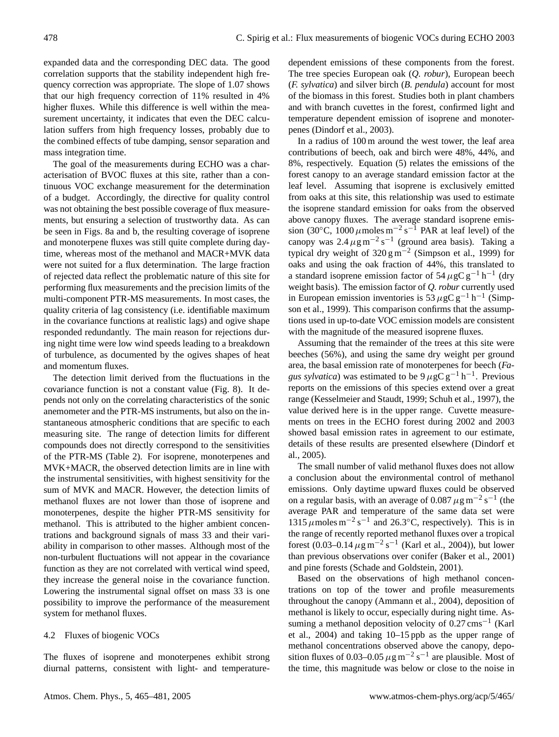expanded data and the corresponding DEC data. The good correlation supports that the stability independent high frequency correction was appropriate. The slope of 1.07 shows that our high frequency correction of 11% resulted in 4% higher fluxes. While this difference is well within the measurement uncertainty, it indicates that even the DEC calculation suffers from high frequency losses, probably due to the combined effects of tube damping, sensor separation and mass integration time.

The goal of the measurements during ECHO was a characterisation of BVOC fluxes at this site, rather than a continuous VOC exchange measurement for the determination of a budget. Accordingly, the directive for quality control was not obtaining the best possible coverage of flux measurements, but ensuring a selection of trustworthy data. As can be seen in Figs. 8a and b, the resulting coverage of isoprene and monoterpene fluxes was still quite complete during daytime, whereas most of the methanol and MACR+MVK data were not suited for a flux determination. The large fraction of rejected data reflect the problematic nature of this site for performing flux measurements and the precision limits of the multi-component PTR-MS measurements. In most cases, the quality criteria of lag consistency (i.e. identifiable maximum in the covariance functions at realistic lags) and ogive shape responded redundantly. The main reason for rejections during night time were low wind speeds leading to a breakdown of turbulence, as documented by the ogives shapes of heat and momentum fluxes.

The detection limit derived from the fluctuations in the covariance function is not a constant value (Fig. 8). It depends not only on the correlating characteristics of the sonic anemometer and the PTR-MS instruments, but also on the instantaneous atmospheric conditions that are specific to each measuring site. The range of detection limits for different compounds does not directly correspond to the sensitivities of the PTR-MS (Table 2). For isoprene, monoterpenes and MVK+MACR, the observed detection limits are in line with the instrumental sensitivities, with highest sensitivity for the sum of MVK and MACR. However, the detection limits of methanol fluxes are not lower than those of isoprene and monoterpenes, despite the higher PTR-MS sensitivity for methanol. This is attributed to the higher ambient concentrations and background signals of mass 33 and their variability in comparison to other masses. Although most of the non-turbulent fluctuations will not appear in the covariance function as they are not correlated with vertical wind speed, they increase the general noise in the covariance function. Lowering the instrumental signal offset on mass 33 is one possibility to improve the performance of the measurement system for methanol fluxes.

## 4.2 Fluxes of biogenic VOCs

The fluxes of isoprene and monoterpenes exhibit strong diurnal patterns, consistent with light- and temperature-

dependent emissions of these components from the forest. The tree species European oak (*Q. robur*), European beech (*F. sylvatica*) and silver birch (*B. pendula*) account for most of the biomass in this forest. Studies both in plant chambers and with branch cuvettes in the forest, confirmed light and temperature dependent emission of isoprene and monoterpenes (Dindorf et al., 2003).

In a radius of 100 m around the west tower, the leaf area contributions of beech, oak and birch were 48%, 44%, and 8%, respectively. Equation (5) relates the emissions of the forest canopy to an average standard emission factor at the leaf level. Assuming that isoprene is exclusively emitted from oaks at this site, this relationship was used to estimate the isoprene standard emission for oaks from the observed above canopy fluxes. The average standard isoprene emission (30 $\degree$ C, 1000  $\mu$ moles m<sup>-2</sup> s<sup>-1</sup> PAR at leaf level) of the canopy was  $2.4 \,\mu g \,\text{m}^{-2} \,\text{s}^{-1}$  (ground area basis). Taking a typical dry weight of  $320 \text{ g m}^{-2}$  (Simpson et al., 1999) for oaks and using the oak fraction of 44%, this translated to a standard isoprene emission factor of 54  $\mu$ gC g<sup>-1</sup> h<sup>-1</sup> (dry weight basis). The emission factor of *Q. robur* currently used in European emission inventories is 53  $\mu$ gC g<sup>-1</sup> h<sup>-1</sup> (Simpson et al., 1999). This comparison confirms that the assumptions used in up-to-date VOC emission models are consistent with the magnitude of the measured isoprene fluxes.

Assuming that the remainder of the trees at this site were beeches (56%), and using the same dry weight per ground area, the basal emission rate of monoterpenes for beech (*Fagus sylvatica*) was estimated to be  $9 \mu g C g^{-1} h^{-1}$ . Previous reports on the emissions of this species extend over a great range (Kesselmeier and Staudt, 1999; Schuh et al., 1997), the value derived here is in the upper range. Cuvette measurements on trees in the ECHO forest during 2002 and 2003 showed basal emission rates in agreement to our estimate, details of these results are presented elsewhere (Dindorf et al., 2005).

The small number of valid methanol fluxes does not allow a conclusion about the environmental control of methanol emissions. Only daytime upward fluxes could be observed on a regular basis, with an average of 0.087  $\mu$ g m<sup>-2</sup> s<sup>-1</sup> (the average PAR and temperature of the same data set were 1315  $\mu$  moles m<sup>-2</sup> s<sup>-1</sup> and 26.3°C, respectively). This is in the range of recently reported methanol fluxes over a tropical forest (0.03–0.14  $\mu$ g m<sup>-2</sup> s<sup>-1</sup> (Karl et al., 2004)), but lower than previous observations over conifer (Baker et al., 2001) and pine forests (Schade and Goldstein, 2001).

Based on the observations of high methanol concentrations on top of the tower and profile measurements throughout the canopy (Ammann et al., 2004), deposition of methanol is likely to occur, especially during night time. Assuming a methanol deposition velocity of 0.27 cms<sup>-1</sup> (Karl et al., 2004) and taking 10–15 ppb as the upper range of methanol concentrations observed above the canopy, deposition fluxes of 0.03–0.05  $\mu$ g m<sup>-2</sup> s<sup>-1</sup> are plausible. Most of the time, this magnitude was below or close to the noise in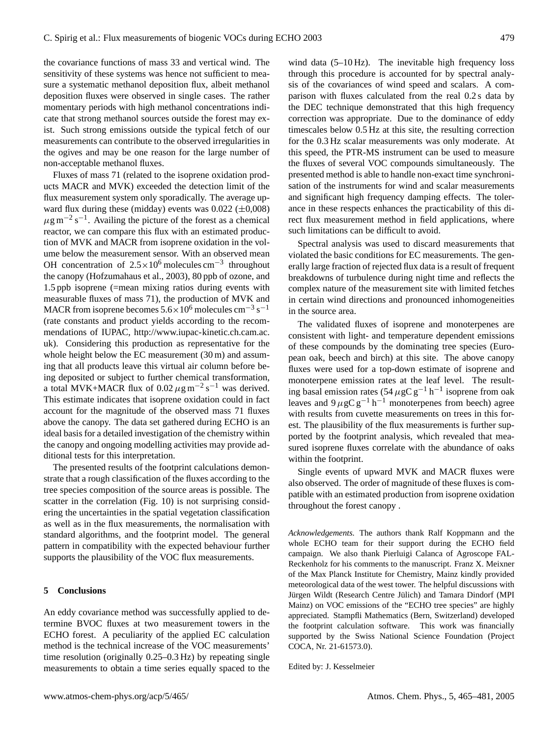the covariance functions of mass 33 and vertical wind. The sensitivity of these systems was hence not sufficient to measure a systematic methanol deposition flux, albeit methanol deposition fluxes were observed in single cases. The rather momentary periods with high methanol concentrations indicate that strong methanol sources outside the forest may exist. Such strong emissions outside the typical fetch of our measurements can contribute to the observed irregularities in the ogives and may be one reason for the large number of non-acceptable methanol fluxes.

Fluxes of mass 71 (related to the isoprene oxidation products MACR and MVK) exceeded the detection limit of the flux measurement system only sporadically. The average upward flux during these (midday) events was  $0.022$  ( $\pm 0.008$ )  $\mu$ g m<sup>-2</sup> s<sup>-1</sup>. Availing the picture of the forest as a chemical reactor, we can compare this flux with an estimated production of MVK and MACR from isoprene oxidation in the volume below the measurement sensor. With an observed mean OH concentration of  $2.5 \times 10^6$  molecules cm<sup>-3</sup> throughout the canopy (Hofzumahaus et al., 2003), 80 ppb of ozone, and 1.5 ppb isoprene (=mean mixing ratios during events with measurable fluxes of mass 71), the production of MVK and MACR from isoprene becomes  $5.6 \times 10^6$  molecules cm<sup>-3</sup> s<sup>-1</sup> (rate constants and product yields according to the recommendations of IUPAC, [http://www.iupac-kinetic.ch.cam.ac.](http://www.iupac-kinetic.ch.cam.ac.uk) [uk\)](http://www.iupac-kinetic.ch.cam.ac.uk). Considering this production as representative for the whole height below the EC measurement (30 m) and assuming that all products leave this virtual air column before being deposited or subject to further chemical transformation, a total MVK+MACR flux of  $0.02 \,\mu g \,\text{m}^{-2} \,\text{s}^{-1}$  was derived. This estimate indicates that isoprene oxidation could in fact account for the magnitude of the observed mass 71 fluxes above the canopy. The data set gathered during ECHO is an ideal basis for a detailed investigation of the chemistry within the canopy and ongoing modelling activities may provide additional tests for this interpretation.

The presented results of the footprint calculations demonstrate that a rough classification of the fluxes according to the tree species composition of the source areas is possible. The scatter in the correlation (Fig. 10) is not surprising considering the uncertainties in the spatial vegetation classification as well as in the flux measurements, the normalisation with standard algorithms, and the footprint model. The general pattern in compatibility with the expected behaviour further supports the plausibility of the VOC flux measurements.

## **5 Conclusions**

An eddy covariance method was successfully applied to determine BVOC fluxes at two measurement towers in the ECHO forest. A peculiarity of the applied EC calculation method is the technical increase of the VOC measurements' time resolution (originally 0.25–0.3 Hz) by repeating single measurements to obtain a time series equally spaced to the

wind data (5–10 Hz). The inevitable high frequency loss through this procedure is accounted for by spectral analysis of the covariances of wind speed and scalars. A comparison with fluxes calculated from the real 0.2 s data by the DEC technique demonstrated that this high frequency correction was appropriate. Due to the dominance of eddy timescales below 0.5 Hz at this site, the resulting correction for the 0.3 Hz scalar measurements was only moderate. At this speed, the PTR-MS instrument can be used to measure the fluxes of several VOC compounds simultaneously. The presented method is able to handle non-exact time synchronisation of the instruments for wind and scalar measurements and significant high frequency damping effects. The tolerance in these respects enhances the practicability of this direct flux measurement method in field applications, where such limitations can be difficult to avoid.

Spectral analysis was used to discard measurements that violated the basic conditions for EC measurements. The generally large fraction of rejected flux data is a result of frequent breakdowns of turbulence during night time and reflects the complex nature of the measurement site with limited fetches in certain wind directions and pronounced inhomogeneities in the source area.

The validated fluxes of isoprene and monoterpenes are consistent with light- and temperature dependent emissions of these compounds by the dominating tree species (European oak, beech and birch) at this site. The above canopy fluxes were used for a top-down estimate of isoprene and monoterpene emission rates at the leaf level. The resulting basal emission rates (54  $\mu$ gC g<sup>-1</sup> h<sup>-1</sup> isoprene from oak leaves and  $9 \mu g C g^{-1} h^{-1}$  monoterpenes from beech) agree with results from cuvette measurements on trees in this forest. The plausibility of the flux measurements is further supported by the footprint analysis, which revealed that measured isoprene fluxes correlate with the abundance of oaks within the footprint.

Single events of upward MVK and MACR fluxes were also observed. The order of magnitude of these fluxes is compatible with an estimated production from isoprene oxidation throughout the forest canopy .

*Acknowledgements.* The authors thank Ralf Koppmann and the whole ECHO team for their support during the ECHO field campaign. We also thank Pierluigi Calanca of Agroscope FAL-Reckenholz for his comments to the manuscript. Franz X. Meixner of the Max Planck Institute for Chemistry, Mainz kindly provided meteorological data of the west tower. The helpful discussions with Jürgen Wildt (Research Centre Jülich) and Tamara Dindorf (MPI Mainz) on VOC emissions of the "ECHO tree species" are highly appreciated. Stampfli Mathematics (Bern, Switzerland) developed the footprint calculation software. This work was financially supported by the Swiss National Science Foundation (Project COCA, Nr. 21-61573.0).

Edited by: J. Kesselmeier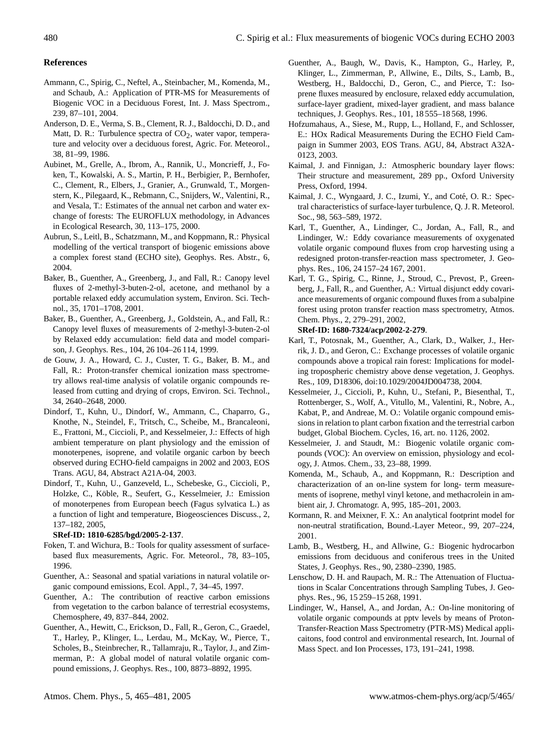# **References**

- Ammann, C., Spirig, C., Neftel, A., Steinbacher, M., Komenda, M., and Schaub, A.: Application of PTR-MS for Measurements of Biogenic VOC in a Deciduous Forest, Int. J. Mass Spectrom., 239, 87–101, 2004.
- Anderson, D. E., Verma, S. B., Clement, R. J., Baldocchi, D. D., and Matt, D. R.: Turbulence spectra of  $CO<sub>2</sub>$ , water vapor, temperature and velocity over a deciduous forest, Agric. For. Meteorol., 38, 81–99, 1986.
- Aubinet, M., Grelle, A., Ibrom, A., Rannik, U., Moncrieff, J., Foken, T., Kowalski, A. S., Martin, P. H., Berbigier, P., Bernhofer, C., Clement, R., Elbers, J., Granier, A., Grunwald, T., Morgenstern, K., Pilegaard, K., Rebmann, C., Snijders, W., Valentini, R., and Vesala, T.: Estimates of the annual net carbon and water exchange of forests: The EUROFLUX methodology, in Advances in Ecological Research, 30, 113–175, 2000.
- Aubrun, S., Leitl, B., Schatzmann, M., and Koppmann, R.: Physical modelling of the vertical transport of biogenic emissions above a complex forest stand (ECHO site), Geophys. Res. Abstr., 6, 2004.
- Baker, B., Guenther, A., Greenberg, J., and Fall, R.: Canopy level fluxes of 2-methyl-3-buten-2-ol, acetone, and methanol by a portable relaxed eddy accumulation system, Environ. Sci. Technol., 35, 1701–1708, 2001.
- Baker, B., Guenther, A., Greenberg, J., Goldstein, A., and Fall, R.: Canopy level fluxes of measurements of 2-methyl-3-buten-2-ol by Relaxed eddy accumulation: field data and model comparison, J. Geophys. Res., 104, 26 104–26 114, 1999.
- de Gouw, J. A., Howard, C. J., Custer, T. G., Baker, B. M., and Fall, R.: Proton-transfer chemical ionization mass spectrometry allows real-time analysis of volatile organic compounds released from cutting and drying of crops, Environ. Sci. Technol., 34, 2640–2648, 2000.
- Dindorf, T., Kuhn, U., Dindorf, W., Ammann, C., Chaparro, G., Knothe, N., Steindel, F., Tritsch, C., Scheibe, M., Brancaleoni, E., Frattoni, M., Ciccioli, P., and Kesselmeier, J.: Effects of high ambient temperature on plant physiology and the emission of monoterpenes, isoprene, and volatile organic carbon by beech observed during ECHO-field campaigns in 2002 and 2003, EOS Trans. AGU, 84, Abstract A21A-04, 2003.
- Dindorf, T., Kuhn, U., Ganzeveld, L., Schebeske, G., Ciccioli, P., Holzke, C., Koble, R., Seufert, G., Kesselmeier, J.: Emission ¨ of monoterpenes from European beech (Fagus sylvatica L.) as a function of light and temperature, Biogeosciences Discuss., 2, 137–182, 2005,

## **[SRef-ID: 1810-6285/bgd/2005-2-137](http://direct.sref.org/1810-6285/bgd/2005-2-137)**.

- Foken, T. and Wichura, B.: Tools for quality assessment of surfacebased flux measurements, Agric. For. Meteorol., 78, 83–105, 1996.
- Guenther, A.: Seasonal and spatial variations in natural volatile organic compound emissions, Ecol. Appl., 7, 34–45, 1997.
- Guenther, A.: The contribution of reactive carbon emissions from vegetation to the carbon balance of terrestrial ecosystems, Chemosphere, 49, 837–844, 2002.
- Guenther, A., Hewitt, C., Erickson, D., Fall, R., Geron, C., Graedel, T., Harley, P., Klinger, L., Lerdau, M., McKay, W., Pierce, T., Scholes, B., Steinbrecher, R., Tallamraju, R., Taylor, J., and Zimmerman, P.: A global model of natural volatile organic compound emissions, J. Geophys. Res., 100, 8873–8892, 1995.
- Guenther, A., Baugh, W., Davis, K., Hampton, G., Harley, P., Klinger, L., Zimmerman, P., Allwine, E., Dilts, S., Lamb, B., Westberg, H., Baldocchi, D., Geron, C., and Pierce, T.: Isoprene fluxes measured by enclosure, relaxed eddy accumulation, surface-layer gradient, mixed-layer gradient, and mass balance techniques, J. Geophys. Res., 101, 18 555–18 568, 1996.
- Hofzumahaus, A., Siese, M., Rupp, L., Holland, F., and Schlosser, E.: HOx Radical Measurements During the ECHO Field Campaign in Summer 2003, EOS Trans. AGU, 84, Abstract A32A-0123, 2003.
- Kaimal, J. and Finnigan, J.: Atmospheric boundary layer flows: Their structure and measurement, 289 pp., Oxford University Press, Oxford, 1994.
- Kaimal, J. C., Wyngaard, J. C., Izumi, Y., and Coté, O. R.: Spectral characteristics of surface-layer turbulence, Q. J. R. Meteorol. Soc., 98, 563–589, 1972.
- Karl, T., Guenther, A., Lindinger, C., Jordan, A., Fall, R., and Lindinger, W.: Eddy covariance measurements of oxygenated volatile organic compound fluxes from crop harvesting using a redesigned proton-transfer-reaction mass spectrometer, J. Geophys. Res., 106, 24 157–24 167, 2001.
- Karl, T. G., Spirig, C., Rinne, J., Stroud, C., Prevost, P., Greenberg, J., Fall, R., and Guenther, A.: Virtual disjunct eddy covariance measurements of organic compound fluxes from a subalpine forest using proton transfer reaction mass spectrometry, Atmos. Chem. Phys., 2, 279–291, 2002,

# **[SRef-ID: 1680-7324/acp/2002-2-279](http://direct.sref.org/1680-7324/acp/2002-2-279)**.

- Karl, T., Potosnak, M., Guenther, A., Clark, D., Walker, J., Herrik, J. D., and Geron, C.: Exchange processes of volatile organic compounds above a tropical rain forest: Implications for modeling tropospheric chemistry above dense vegetation, J. Geophys. Res., 109, D18306, doi:10.1029/2004JD004738, 2004.
- Kesselmeier, J., Ciccioli, P., Kuhn, U., Stefani, P., Biesenthal, T., Rottenberger, S., Wolf, A., Vitullo, M., Valentini, R., Nobre, A., Kabat, P., and Andreae, M. O.: Volatile organic compound emissions in relation to plant carbon fixation and the terrestrial carbon budget, Global Biochem. Cycles, 16, art. no. 1126, 2002.
- Kesselmeier, J. and Staudt, M.: Biogenic volatile organic compounds (VOC): An overview on emission, physiology and ecology, J. Atmos. Chem., 33, 23–88, 1999.
- Komenda, M., Schaub, A., and Koppmann, R.: Description and characterization of an on-line system for long- term measurements of isoprene, methyl vinyl ketone, and methacrolein in ambient air, J. Chromatogr. A, 995, 185–201, 2003.
- Kormann, R. and Meixner, F. X.: An analytical footprint model for non-neutral stratification, Bound.-Layer Meteor., 99, 207–224, 2001.
- Lamb, B., Westberg, H., and Allwine, G.: Biogenic hydrocarbon emissions from deciduous and coniferous trees in the United States, J. Geophys. Res., 90, 2380–2390, 1985.
- Lenschow, D. H. and Raupach, M. R.: The Attenuation of Fluctuations in Scalar Concentrations through Sampling Tubes, J. Geophys. Res., 96, 15 259–15 268, 1991.
- Lindinger, W., Hansel, A., and Jordan, A.: On-line monitoring of volatile organic compounds at pptv levels by means of Proton-Transfer-Reaction Mass Spectrometry (PTR-MS) Medical applicaitons, food control and environmental research, Int. Journal of Mass Spect. and Ion Processes, 173, 191–241, 1998.